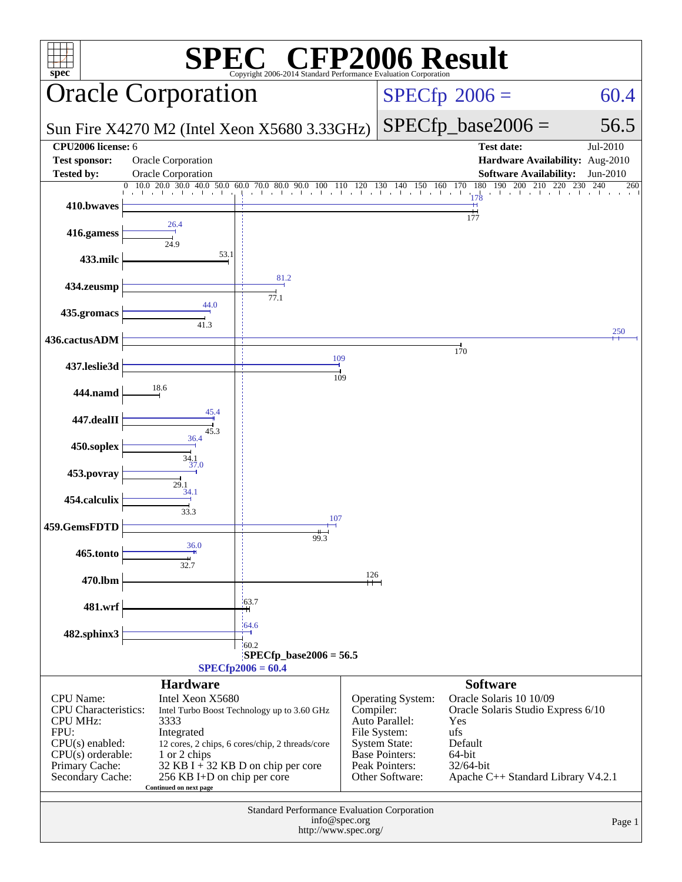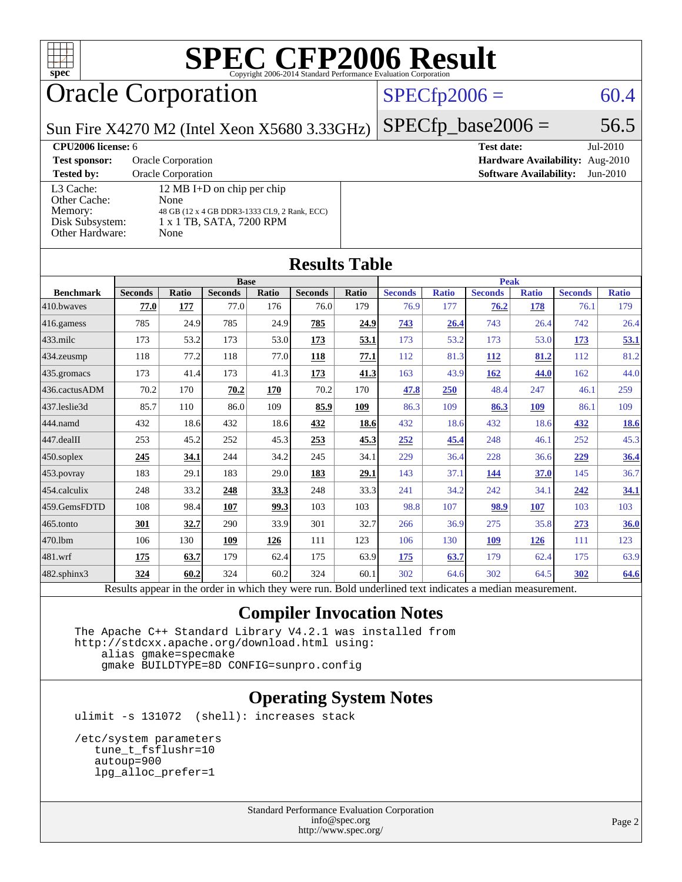

## Oracle Corporation

#### $SPECfp2006 = 60.4$  $SPECfp2006 = 60.4$

Sun Fire X4270 M2 (Intel Xeon X5680 3.33GHz)

**[Test sponsor:](http://www.spec.org/auto/cpu2006/Docs/result-fields.html#Testsponsor)** Oracle Corporation **[Hardware Availability:](http://www.spec.org/auto/cpu2006/Docs/result-fields.html#HardwareAvailability)** Aug-2010 **[Tested by:](http://www.spec.org/auto/cpu2006/Docs/result-fields.html#Testedby)** Oracle Corporation **[Software Availability:](http://www.spec.org/auto/cpu2006/Docs/result-fields.html#SoftwareAvailability)** Jun-2010 [L3 Cache:](http://www.spec.org/auto/cpu2006/Docs/result-fields.html#L3Cache) 12 MB I+D on chip per chip<br>Other Cache: None [Other Cache:](http://www.spec.org/auto/cpu2006/Docs/result-fields.html#OtherCache) [Memory:](http://www.spec.org/auto/cpu2006/Docs/result-fields.html#Memory) 48 GB (12 x 4 GB DDR3-1333 CL9, 2 Rank, ECC) [Disk Subsystem:](http://www.spec.org/auto/cpu2006/Docs/result-fields.html#DiskSubsystem) 1 x 1 TB, SATA, 7200 RPM [Other Hardware:](http://www.spec.org/auto/cpu2006/Docs/result-fields.html#OtherHardware) None

#### $SPECTp\_base2006 = 56.5$ **[CPU2006 license:](http://www.spec.org/auto/cpu2006/Docs/result-fields.html#CPU2006license)** 6 **[Test date:](http://www.spec.org/auto/cpu2006/Docs/result-fields.html#Testdate)** Jul-2010

| <b>Results Table</b> |       |                |       |                |       |                |              |                |                                                        |                |              |
|----------------------|-------|----------------|-------|----------------|-------|----------------|--------------|----------------|--------------------------------------------------------|----------------|--------------|
|                      |       |                |       |                |       |                |              |                |                                                        |                |              |
| <b>Seconds</b>       | Ratio | <b>Seconds</b> | Ratio | <b>Seconds</b> | Ratio | <b>Seconds</b> | <b>Ratio</b> | <b>Seconds</b> | <b>Ratio</b>                                           | <b>Seconds</b> | <b>Ratio</b> |
| 77.0                 | 177   | 77.0           | 176   | 76.0           | 179   | 76.9           | 177          | 76.2           | 178                                                    | 76.1           | 179          |
| 785                  | 24.9  | 785            | 24.9  | 785            | 24.9  | 743            | 26.4         | 743            | 26.4                                                   | 742            | 26.4         |
| 173                  | 53.2  | 173            | 53.0  | 173            | 53.1  | 173            | 53.2         | 173            | 53.0                                                   | 173            | 53.1         |
| 118                  | 77.2  | 118            | 77.0  | 118            | 77.1  | 112            |              | <b>112</b>     | 81.2                                                   | 112            | 81.2         |
| 173                  | 41.4  | 173            | 41.3  | 173            | 41.3  | 163            | 43.9         | 162            | 44.0                                                   | 162            | 44.0         |
| 70.2                 | 170   | 70.2           | 170   | 70.2           | 170   | 47.8           | 250          | 48.4           | 247                                                    | 46.1           | 259          |
| 85.7                 | 110   | 86.0           | 109   | 85.9           | 109   | 86.3           | 109          | 86.3           | 109                                                    | 86.1           | 109          |
| 432                  | 18.6  | 432            | 18.6  | 432            | 18.6  | 432            |              | 432            | 18.6                                                   | 432            | <u>18.6</u>  |
| 253                  | 45.2  | 252            | 45.3  | 253            | 45.3  | 252            | 45.4         | 248            | 46.1                                                   | 252            | 45.3         |
| 245                  | 34.1  | 244            | 34.2  | 245            | 34.1  | 229            | 36.4         | 228            | 36.6                                                   | 229            | 36.4         |
| 183                  | 29.1  | 183            | 29.0  | 183            | 29.1  | 143            | 37.1         | 144            | 37.0                                                   | 145            | 36.7         |
| 248                  | 33.2  | 248            | 33.3  | 248            | 33.3  | 241            | 34.2         | 242            | 34.1                                                   | 242            | 34.1         |
| 108                  | 98.4  | 107            | 99.3  | 103            | 103   | 98.8           | 107          | 98.9           | 107                                                    | 103            | 103          |
| 301                  | 32.7  | 290            | 33.9  | 301            | 32.7  | 266            | 36.9         | 275            | 35.8                                                   | 273            | 36.0         |
| 106                  | 130   | 109            | 126   | 111            | 123   | 106            | 130          | 109            | 126                                                    | 111            | 123          |
| 175                  | 63.7  | 179            | 62.4  | 175            | 63.9  | 175            | 63.7         | 179            | 62.4                                                   | 175            | 63.9         |
| 324                  | 60.2  | 324            | 60.2  | 324            | 60.1  | 302            |              | 302            | 64.5                                                   | 302            | 64.6         |
|                      |       |                |       | <b>Base</b>    |       |                |              |                | 81.3<br>18.6<br>64.6<br><b>Second Contracts</b><br>11. | <b>Peak</b>    |              |

Results appear in the [order in which they were run.](http://www.spec.org/auto/cpu2006/Docs/result-fields.html#RunOrder) Bold underlined text [indicates a median measurement.](http://www.spec.org/auto/cpu2006/Docs/result-fields.html#Median)

#### **[Compiler Invocation Notes](http://www.spec.org/auto/cpu2006/Docs/result-fields.html#CompilerInvocationNotes)**

 The Apache C++ Standard Library V4.2.1 was installed from <http://stdcxx.apache.org/download.html> using:

 alias gmake=specmake gmake BUILDTYPE=8D CONFIG=sunpro.config

#### **[Operating System Notes](http://www.spec.org/auto/cpu2006/Docs/result-fields.html#OperatingSystemNotes)**

ulimit -s 131072 (shell): increases stack

```
 /etc/system parameters
  tune_t_fsflushr=10
  autoup=900
   lpg_alloc_prefer=1
```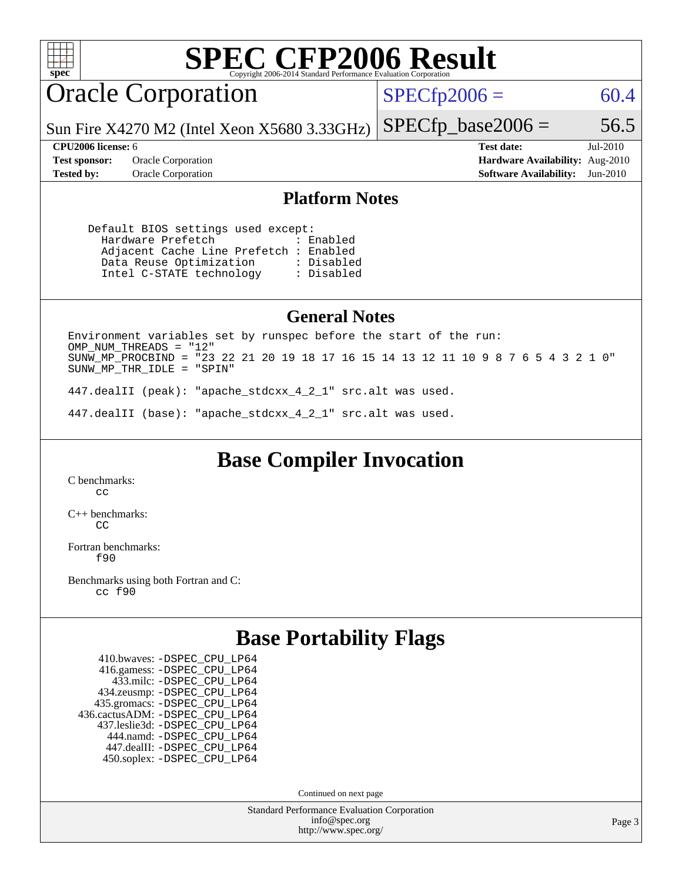

## Oracle Corporation

 $SPECTp2006 = 60.4$ 

Sun Fire X4270 M2 (Intel Xeon X5680 3.33GHz)

**[Tested by:](http://www.spec.org/auto/cpu2006/Docs/result-fields.html#Testedby)** Oracle Corporation **[Software Availability:](http://www.spec.org/auto/cpu2006/Docs/result-fields.html#SoftwareAvailability)** Jun-2010

**[CPU2006 license:](http://www.spec.org/auto/cpu2006/Docs/result-fields.html#CPU2006license)** 6 **[Test date:](http://www.spec.org/auto/cpu2006/Docs/result-fields.html#Testdate)** Jul-2010 **[Test sponsor:](http://www.spec.org/auto/cpu2006/Docs/result-fields.html#Testsponsor)** Oracle Corporation **[Hardware Availability:](http://www.spec.org/auto/cpu2006/Docs/result-fields.html#HardwareAvailability)** Aug-2010

 $SPECTp\_base2006 = 56.5$ 

#### **[Platform Notes](http://www.spec.org/auto/cpu2006/Docs/result-fields.html#PlatformNotes)**

 Default BIOS settings used except: Hardware Prefetch : Enabled Adjacent Cache Line Prefetch : Enabled Data Reuse Optimization : Disabled<br>Intel C-STATE technology : Disabled Intel C-STATE technology

#### **[General Notes](http://www.spec.org/auto/cpu2006/Docs/result-fields.html#GeneralNotes)**

Environment variables set by runspec before the start of the run: OMP\_NUM\_THREADS = "12" SUNW\_MP\_PROCBIND = "23 22 21 20 19 18 17 16 15 14 13 12 11 10 9 8 7 6 5 4 3 2 1 0" SUNW\_MP\_THR\_IDLE = "SPIN"

447.dealII (peak): "apache\_stdcxx\_4\_2\_1" src.alt was used.

447.dealII (base): "apache\_stdcxx\_4\_2\_1" src.alt was used.

**[Base Compiler Invocation](http://www.spec.org/auto/cpu2006/Docs/result-fields.html#BaseCompilerInvocation)**

[C benchmarks](http://www.spec.org/auto/cpu2006/Docs/result-fields.html#Cbenchmarks): [cc](http://www.spec.org/cpu2006/results/res2010q3/cpu2006-20100816-12951.flags.html#user_CCbase_solaris_studio_cc)

[C++ benchmarks:](http://www.spec.org/auto/cpu2006/Docs/result-fields.html#CXXbenchmarks)  $C<sub>C</sub>$ 

[Fortran benchmarks](http://www.spec.org/auto/cpu2006/Docs/result-fields.html#Fortranbenchmarks): [f90](http://www.spec.org/cpu2006/results/res2010q3/cpu2006-20100816-12951.flags.html#user_FCbase_solaris_studio_f90)

[Benchmarks using both Fortran and C](http://www.spec.org/auto/cpu2006/Docs/result-fields.html#BenchmarksusingbothFortranandC): [cc](http://www.spec.org/cpu2006/results/res2010q3/cpu2006-20100816-12951.flags.html#user_CC_FCbase_solaris_studio_cc) [f90](http://www.spec.org/cpu2006/results/res2010q3/cpu2006-20100816-12951.flags.html#user_CC_FCbase_solaris_studio_f90)

#### **[Base Portability Flags](http://www.spec.org/auto/cpu2006/Docs/result-fields.html#BasePortabilityFlags)**

 410.bwaves: [-DSPEC\\_CPU\\_LP64](http://www.spec.org/cpu2006/results/res2010q3/cpu2006-20100816-12951.flags.html#suite_basePORTABILITY410_bwaves_DSPEC_CPU_LP64) 416.gamess: [-DSPEC\\_CPU\\_LP64](http://www.spec.org/cpu2006/results/res2010q3/cpu2006-20100816-12951.flags.html#suite_basePORTABILITY416_gamess_DSPEC_CPU_LP64) 433.milc: [-DSPEC\\_CPU\\_LP64](http://www.spec.org/cpu2006/results/res2010q3/cpu2006-20100816-12951.flags.html#suite_basePORTABILITY433_milc_DSPEC_CPU_LP64) 434.zeusmp: [-DSPEC\\_CPU\\_LP64](http://www.spec.org/cpu2006/results/res2010q3/cpu2006-20100816-12951.flags.html#suite_basePORTABILITY434_zeusmp_DSPEC_CPU_LP64) 435.gromacs: [-DSPEC\\_CPU\\_LP64](http://www.spec.org/cpu2006/results/res2010q3/cpu2006-20100816-12951.flags.html#suite_basePORTABILITY435_gromacs_DSPEC_CPU_LP64) 436.cactusADM: [-DSPEC\\_CPU\\_LP64](http://www.spec.org/cpu2006/results/res2010q3/cpu2006-20100816-12951.flags.html#suite_basePORTABILITY436_cactusADM_DSPEC_CPU_LP64) 437.leslie3d: [-DSPEC\\_CPU\\_LP64](http://www.spec.org/cpu2006/results/res2010q3/cpu2006-20100816-12951.flags.html#suite_basePORTABILITY437_leslie3d_DSPEC_CPU_LP64) 444.namd: [-DSPEC\\_CPU\\_LP64](http://www.spec.org/cpu2006/results/res2010q3/cpu2006-20100816-12951.flags.html#suite_basePORTABILITY444_namd_DSPEC_CPU_LP64) 447.dealII: [-DSPEC\\_CPU\\_LP64](http://www.spec.org/cpu2006/results/res2010q3/cpu2006-20100816-12951.flags.html#suite_basePORTABILITY447_dealII_DSPEC_CPU_LP64) 450.soplex: [-DSPEC\\_CPU\\_LP64](http://www.spec.org/cpu2006/results/res2010q3/cpu2006-20100816-12951.flags.html#suite_basePORTABILITY450_soplex_DSPEC_CPU_LP64)

Continued on next page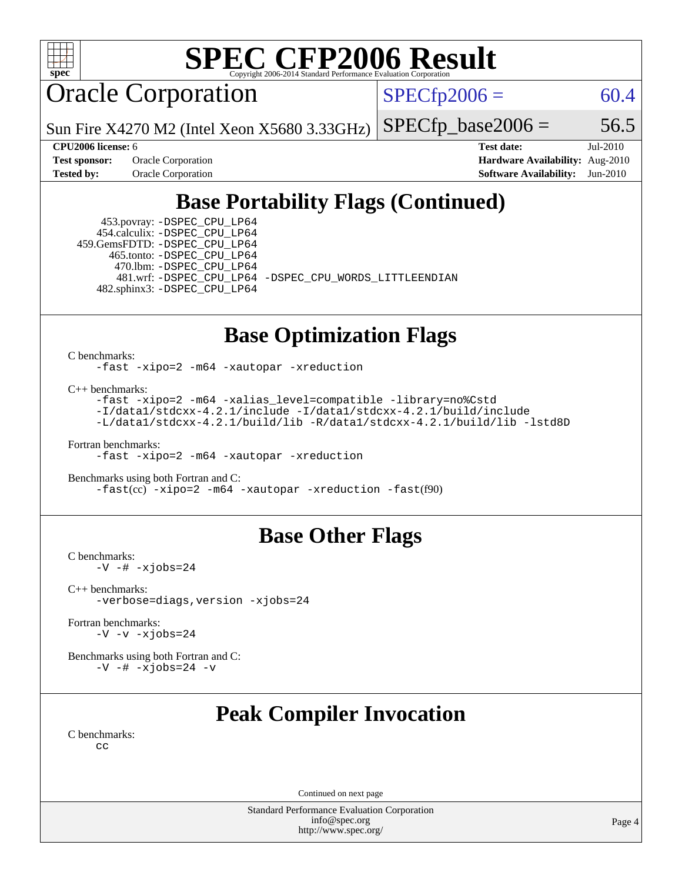

Oracle Corporation

 $SPECfp2006 = 60.4$  $SPECfp2006 = 60.4$ 

Sun Fire X4270 M2 (Intel Xeon X5680 3.33GHz)

 $SPECTp\_base2006 = 56.5$ 

**[Test sponsor:](http://www.spec.org/auto/cpu2006/Docs/result-fields.html#Testsponsor)** Oracle Corporation **[Hardware Availability:](http://www.spec.org/auto/cpu2006/Docs/result-fields.html#HardwareAvailability)** Aug-2010

**[CPU2006 license:](http://www.spec.org/auto/cpu2006/Docs/result-fields.html#CPU2006license)** 6 **[Test date:](http://www.spec.org/auto/cpu2006/Docs/result-fields.html#Testdate)** Jul-2010 **[Tested by:](http://www.spec.org/auto/cpu2006/Docs/result-fields.html#Testedby)** Oracle Corporation **[Software Availability:](http://www.spec.org/auto/cpu2006/Docs/result-fields.html#SoftwareAvailability)** Jun-2010

#### **[Base Portability Flags \(Continued\)](http://www.spec.org/auto/cpu2006/Docs/result-fields.html#BasePortabilityFlags)**

 453.povray: [-DSPEC\\_CPU\\_LP64](http://www.spec.org/cpu2006/results/res2010q3/cpu2006-20100816-12951.flags.html#suite_basePORTABILITY453_povray_DSPEC_CPU_LP64) 454.calculix: [-DSPEC\\_CPU\\_LP64](http://www.spec.org/cpu2006/results/res2010q3/cpu2006-20100816-12951.flags.html#suite_basePORTABILITY454_calculix_DSPEC_CPU_LP64) 459.GemsFDTD: [-DSPEC\\_CPU\\_LP64](http://www.spec.org/cpu2006/results/res2010q3/cpu2006-20100816-12951.flags.html#suite_basePORTABILITY459_GemsFDTD_DSPEC_CPU_LP64) 465.tonto: [-DSPEC\\_CPU\\_LP64](http://www.spec.org/cpu2006/results/res2010q3/cpu2006-20100816-12951.flags.html#suite_basePORTABILITY465_tonto_DSPEC_CPU_LP64) 470.lbm: [-DSPEC\\_CPU\\_LP64](http://www.spec.org/cpu2006/results/res2010q3/cpu2006-20100816-12951.flags.html#suite_basePORTABILITY470_lbm_DSPEC_CPU_LP64) 482.sphinx3: [-DSPEC\\_CPU\\_LP64](http://www.spec.org/cpu2006/results/res2010q3/cpu2006-20100816-12951.flags.html#suite_basePORTABILITY482_sphinx3_DSPEC_CPU_LP64)

481.wrf: [-DSPEC\\_CPU\\_LP64](http://www.spec.org/cpu2006/results/res2010q3/cpu2006-20100816-12951.flags.html#suite_basePORTABILITY481_wrf_DSPEC_CPU_LP64) [-DSPEC\\_CPU\\_WORDS\\_LITTLEENDIAN](http://www.spec.org/cpu2006/results/res2010q3/cpu2006-20100816-12951.flags.html#b481.wrf_baseCPORTABILITY_DSPEC_CPU_WORDS_LITTLEENDIAN)

#### **[Base Optimization Flags](http://www.spec.org/auto/cpu2006/Docs/result-fields.html#BaseOptimizationFlags)**

[C benchmarks](http://www.spec.org/auto/cpu2006/Docs/result-fields.html#Cbenchmarks):

[-fast](http://www.spec.org/cpu2006/results/res2010q3/cpu2006-20100816-12951.flags.html#user_CCbase_fast_cc) [-xipo=2](http://www.spec.org/cpu2006/results/res2010q3/cpu2006-20100816-12951.flags.html#user_CCbase_xipo_5e3708e8f61bc7c7cade0f8c4dada1db) [-m64](http://www.spec.org/cpu2006/results/res2010q3/cpu2006-20100816-12951.flags.html#user_CCbase_F-m64) [-xautopar](http://www.spec.org/cpu2006/results/res2010q3/cpu2006-20100816-12951.flags.html#user_CCbase_F-xautopar) [-xreduction](http://www.spec.org/cpu2006/results/res2010q3/cpu2006-20100816-12951.flags.html#user_CCbase_F-xreduction)

[C++ benchmarks:](http://www.spec.org/auto/cpu2006/Docs/result-fields.html#CXXbenchmarks)

[-fast](http://www.spec.org/cpu2006/results/res2010q3/cpu2006-20100816-12951.flags.html#user_CXXbase_fast_CC) [-xipo=2](http://www.spec.org/cpu2006/results/res2010q3/cpu2006-20100816-12951.flags.html#user_CXXbase_xipo_5e3708e8f61bc7c7cade0f8c4dada1db) [-m64](http://www.spec.org/cpu2006/results/res2010q3/cpu2006-20100816-12951.flags.html#user_CXXbase_F-m64) [-xalias\\_level=compatible](http://www.spec.org/cpu2006/results/res2010q3/cpu2006-20100816-12951.flags.html#user_CXXbase_xalias_level_CC_96f159d8d9a7543292667cc08592323e) [-library=no%Cstd](http://www.spec.org/cpu2006/results/res2010q3/cpu2006-20100816-12951.flags.html#user_CXXbase_libnostd_da34b52876dd9b1697776043cd006b82) [-I/data1/stdcxx-4.2.1/include](http://www.spec.org/cpu2006/results/res2010q3/cpu2006-20100816-12951.flags.html#user_CXXbase_Istd_4fc7ad00c9c434abcb7de97d85ed6ad2) [-I/data1/stdcxx-4.2.1/build/include](http://www.spec.org/cpu2006/results/res2010q3/cpu2006-20100816-12951.flags.html#user_CXXbase_Istd_4b9c40c8918f57fee28a1200b57dc7cb) [-L/data1/stdcxx-4.2.1/build/lib](http://www.spec.org/cpu2006/results/res2010q3/cpu2006-20100816-12951.flags.html#user_CXXbase_Lstd_6add3e3fff8e2dc5dfe0d420dc2ed732) [-R/data1/stdcxx-4.2.1/build/lib](http://www.spec.org/cpu2006/results/res2010q3/cpu2006-20100816-12951.flags.html#user_CXXbase_Rstd_40c30b0b63436923f138f07b8376a63f) [-lstd8D](http://www.spec.org/cpu2006/results/res2010q3/cpu2006-20100816-12951.flags.html#user_CXXbase_F-lstd)

[Fortran benchmarks](http://www.spec.org/auto/cpu2006/Docs/result-fields.html#Fortranbenchmarks): [-fast](http://www.spec.org/cpu2006/results/res2010q3/cpu2006-20100816-12951.flags.html#user_FCbase_fast_f90) [-xipo=2](http://www.spec.org/cpu2006/results/res2010q3/cpu2006-20100816-12951.flags.html#user_FCbase_xipo_5e3708e8f61bc7c7cade0f8c4dada1db) [-m64](http://www.spec.org/cpu2006/results/res2010q3/cpu2006-20100816-12951.flags.html#user_FCbase_F-m64) [-xautopar](http://www.spec.org/cpu2006/results/res2010q3/cpu2006-20100816-12951.flags.html#user_FCbase_F-xautopar) [-xreduction](http://www.spec.org/cpu2006/results/res2010q3/cpu2006-20100816-12951.flags.html#user_FCbase_F-xreduction)

[Benchmarks using both Fortran and C](http://www.spec.org/auto/cpu2006/Docs/result-fields.html#BenchmarksusingbothFortranandC): [-fast](http://www.spec.org/cpu2006/results/res2010q3/cpu2006-20100816-12951.flags.html#user_CC_FCbase_fast_cc)(cc) [-xipo=2](http://www.spec.org/cpu2006/results/res2010q3/cpu2006-20100816-12951.flags.html#user_CC_FCbase_xipo_5e3708e8f61bc7c7cade0f8c4dada1db) [-m64](http://www.spec.org/cpu2006/results/res2010q3/cpu2006-20100816-12951.flags.html#user_CC_FCbase_F-m64) [-xautopar](http://www.spec.org/cpu2006/results/res2010q3/cpu2006-20100816-12951.flags.html#user_CC_FCbase_F-xautopar) [-xreduction](http://www.spec.org/cpu2006/results/res2010q3/cpu2006-20100816-12951.flags.html#user_CC_FCbase_F-xreduction) [-fast](http://www.spec.org/cpu2006/results/res2010q3/cpu2006-20100816-12951.flags.html#user_CC_FCbase_fast_f90)(f90)

#### **[Base Other Flags](http://www.spec.org/auto/cpu2006/Docs/result-fields.html#BaseOtherFlags)**

[C benchmarks](http://www.spec.org/auto/cpu2006/Docs/result-fields.html#Cbenchmarks):  $-V$   $-$ #  $-xjobs=24$ 

[C++ benchmarks:](http://www.spec.org/auto/cpu2006/Docs/result-fields.html#CXXbenchmarks) [-verbose=diags,version](http://www.spec.org/cpu2006/results/res2010q3/cpu2006-20100816-12951.flags.html#user_CXXbase_verbose_CC) [-xjobs=24](http://www.spec.org/cpu2006/results/res2010q3/cpu2006-20100816-12951.flags.html#user_CXXbase_xjobs_abd6ddc54c9060592217816ca032119c)

[Fortran benchmarks](http://www.spec.org/auto/cpu2006/Docs/result-fields.html#Fortranbenchmarks):  $-V$   $-v$   $-xj$ obs=24

[Benchmarks using both Fortran and C](http://www.spec.org/auto/cpu2006/Docs/result-fields.html#BenchmarksusingbothFortranandC):  $-V$   $-$ #  $-x$ jobs=24  $-v$ 

#### **[Peak Compiler Invocation](http://www.spec.org/auto/cpu2006/Docs/result-fields.html#PeakCompilerInvocation)**

[C benchmarks](http://www.spec.org/auto/cpu2006/Docs/result-fields.html#Cbenchmarks):  $C<sub>c</sub>$ 

Continued on next page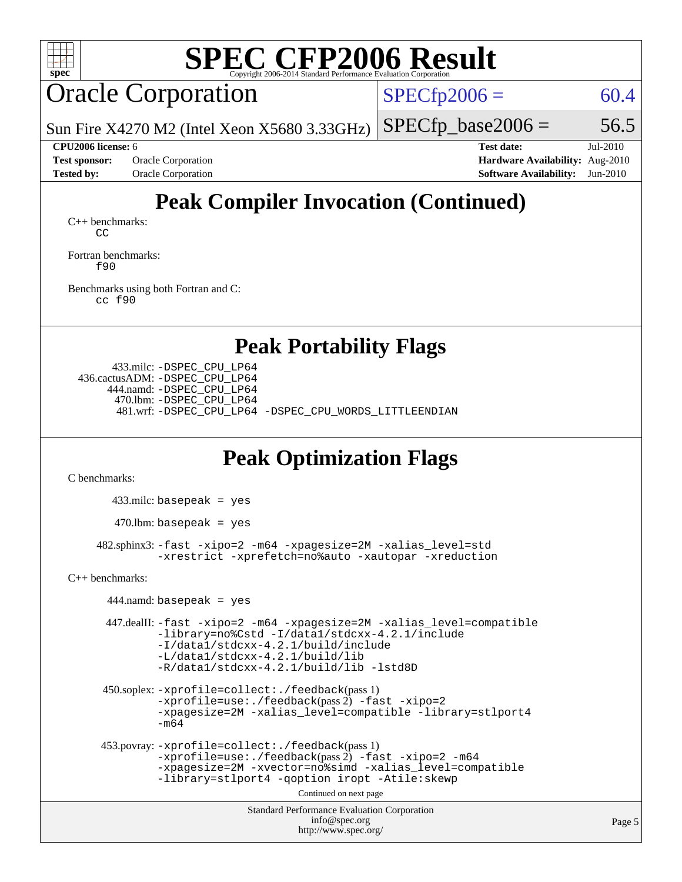

## Oracle Corporation

 $SPECfp2006 = 60.4$  $SPECfp2006 = 60.4$ 

Sun Fire X4270 M2 (Intel Xeon X5680 3.33GHz)

 $SPECTp\_base2006 = 56.5$ 

**[Test sponsor:](http://www.spec.org/auto/cpu2006/Docs/result-fields.html#Testsponsor)** Oracle Corporation **[Hardware Availability:](http://www.spec.org/auto/cpu2006/Docs/result-fields.html#HardwareAvailability)** Aug-2010

**[CPU2006 license:](http://www.spec.org/auto/cpu2006/Docs/result-fields.html#CPU2006license)** 6 **[Test date:](http://www.spec.org/auto/cpu2006/Docs/result-fields.html#Testdate)** Jul-2010 **[Tested by:](http://www.spec.org/auto/cpu2006/Docs/result-fields.html#Testedby)** Oracle Corporation **[Software Availability:](http://www.spec.org/auto/cpu2006/Docs/result-fields.html#SoftwareAvailability)** Jun-2010

## **[Peak Compiler Invocation \(Continued\)](http://www.spec.org/auto/cpu2006/Docs/result-fields.html#PeakCompilerInvocation)**

[C++ benchmarks:](http://www.spec.org/auto/cpu2006/Docs/result-fields.html#CXXbenchmarks) [CC](http://www.spec.org/cpu2006/results/res2010q3/cpu2006-20100816-12951.flags.html#user_CXXpeak_solaris_studio_CC)

[Fortran benchmarks](http://www.spec.org/auto/cpu2006/Docs/result-fields.html#Fortranbenchmarks): [f90](http://www.spec.org/cpu2006/results/res2010q3/cpu2006-20100816-12951.flags.html#user_FCpeak_solaris_studio_f90)

[Benchmarks using both Fortran and C](http://www.spec.org/auto/cpu2006/Docs/result-fields.html#BenchmarksusingbothFortranandC): [cc](http://www.spec.org/cpu2006/results/res2010q3/cpu2006-20100816-12951.flags.html#user_CC_FCpeak_solaris_studio_cc) [f90](http://www.spec.org/cpu2006/results/res2010q3/cpu2006-20100816-12951.flags.html#user_CC_FCpeak_solaris_studio_f90)

**[Peak Portability Flags](http://www.spec.org/auto/cpu2006/Docs/result-fields.html#PeakPortabilityFlags)**

 433.milc: [-DSPEC\\_CPU\\_LP64](http://www.spec.org/cpu2006/results/res2010q3/cpu2006-20100816-12951.flags.html#suite_peakPORTABILITY433_milc_DSPEC_CPU_LP64) 436.cactusADM: [-DSPEC\\_CPU\\_LP64](http://www.spec.org/cpu2006/results/res2010q3/cpu2006-20100816-12951.flags.html#suite_peakPORTABILITY436_cactusADM_DSPEC_CPU_LP64) 444.namd: [-DSPEC\\_CPU\\_LP64](http://www.spec.org/cpu2006/results/res2010q3/cpu2006-20100816-12951.flags.html#suite_peakPORTABILITY444_namd_DSPEC_CPU_LP64) 470.lbm: [-DSPEC\\_CPU\\_LP64](http://www.spec.org/cpu2006/results/res2010q3/cpu2006-20100816-12951.flags.html#suite_peakPORTABILITY470_lbm_DSPEC_CPU_LP64) 481.wrf: [-DSPEC\\_CPU\\_LP64](http://www.spec.org/cpu2006/results/res2010q3/cpu2006-20100816-12951.flags.html#suite_peakPORTABILITY481_wrf_DSPEC_CPU_LP64) [-DSPEC\\_CPU\\_WORDS\\_LITTLEENDIAN](http://www.spec.org/cpu2006/results/res2010q3/cpu2006-20100816-12951.flags.html#b481.wrf_peakCPORTABILITY_DSPEC_CPU_WORDS_LITTLEENDIAN)

#### **[Peak Optimization Flags](http://www.spec.org/auto/cpu2006/Docs/result-fields.html#PeakOptimizationFlags)**

[C benchmarks](http://www.spec.org/auto/cpu2006/Docs/result-fields.html#Cbenchmarks):

433.milc: basepeak = yes

 $470$ .lbm: basepeak = yes

 482.sphinx3: [-fast](http://www.spec.org/cpu2006/results/res2010q3/cpu2006-20100816-12951.flags.html#user_peakOPTIMIZE482_sphinx3_fast_cc) [-xipo=2](http://www.spec.org/cpu2006/results/res2010q3/cpu2006-20100816-12951.flags.html#user_peakOPTIMIZE482_sphinx3_xipo_5e3708e8f61bc7c7cade0f8c4dada1db) [-m64](http://www.spec.org/cpu2006/results/res2010q3/cpu2006-20100816-12951.flags.html#user_peakOPTIMIZE482_sphinx3_F-m64) [-xpagesize=2M](http://www.spec.org/cpu2006/results/res2010q3/cpu2006-20100816-12951.flags.html#user_peakOPTIMIZE482_sphinx3_xpagesize_f50b67cca4ef3b24ae5e9aaf0af70b7e) [-xalias\\_level=std](http://www.spec.org/cpu2006/results/res2010q3/cpu2006-20100816-12951.flags.html#user_peakCOPTIMIZE482_sphinx3_xalias_level_cc_ed12b6aa9cc1ccf9ee8329664a2d2066) [-xrestrict](http://www.spec.org/cpu2006/results/res2010q3/cpu2006-20100816-12951.flags.html#user_peakEXTRA_OPTIMIZE482_sphinx3_F-xrestrict) [-xprefetch=no%auto](http://www.spec.org/cpu2006/results/res2010q3/cpu2006-20100816-12951.flags.html#user_peakEXTRA_OPTIMIZE482_sphinx3_xprefetch_aadf369b144f677b141e4051b7b2a0c9) [-xautopar](http://www.spec.org/cpu2006/results/res2010q3/cpu2006-20100816-12951.flags.html#user_peakEXTRA_OPTIMIZE482_sphinx3_F-xautopar) [-xreduction](http://www.spec.org/cpu2006/results/res2010q3/cpu2006-20100816-12951.flags.html#user_peakEXTRA_OPTIMIZE482_sphinx3_F-xreduction)

[C++ benchmarks:](http://www.spec.org/auto/cpu2006/Docs/result-fields.html#CXXbenchmarks)

```
Standard Performance Evaluation Corporation
                                 info@spec.org
444.namd: basepeak = yes
447.dealII: -fast -xipo=2 -m64 -xpagesize=2M -xalias_level=compatible
        -library=no%Cstd -I/data1/stdcxx-4.2.1/include
        -I/data1/stdcxx-4.2.1/build/include
        -L/data1/stdcxx-4.2.1/build/lib
        -R/data1/stdcxx-4.2.1/build/lib -lstd8D
450.soplex: -xprofile=collect:./feedback(pass 1)
        -xprofile=use:./feedback(pass 2) -fast -xipo=2
        -xpagesize=2M -xalias_level=compatible -library=stlport4
        -m64
453.povray: -xprofile=collect:./feedback(pass 1)
        -xprofile=use:./feedback(pass 2) -fast -xipo=2 -m64
        -xpagesize=2M -xvector=no%simd -xalias_level=compatible
        -library=stlport4 -qoption iropt -Atile:skewp
                               Continued on next page
```
<http://www.spec.org/>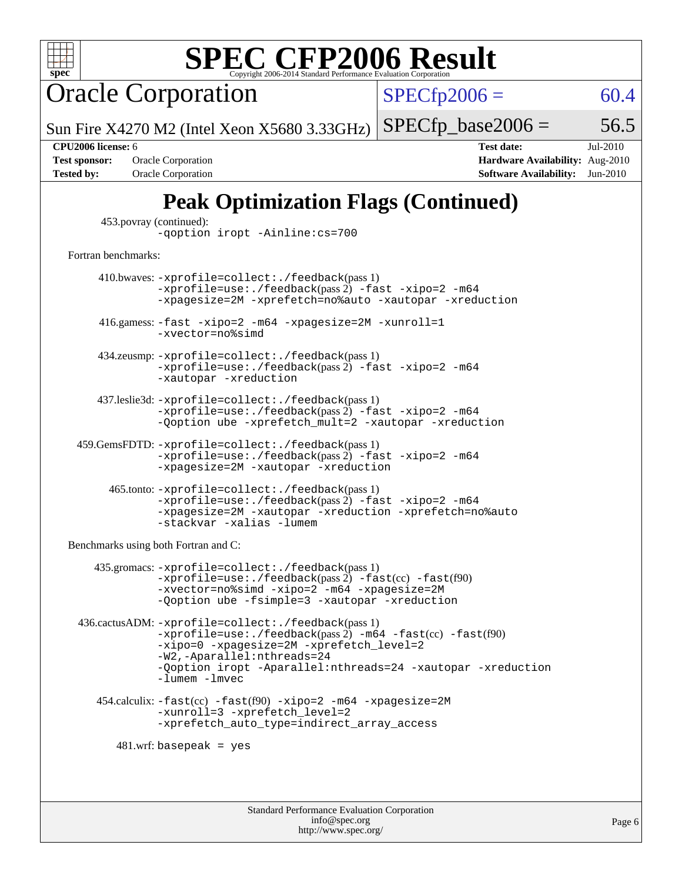

Oracle Corporation

 $SPECfp2006 = 60.4$  $SPECfp2006 = 60.4$ 

Sun Fire X4270 M2 (Intel Xeon X5680 3.33GHz)  $SPECTp\_base2006 = 56.5$ 

**[Tested by:](http://www.spec.org/auto/cpu2006/Docs/result-fields.html#Testedby)** Oracle Corporation **[Software Availability:](http://www.spec.org/auto/cpu2006/Docs/result-fields.html#SoftwareAvailability)** Jun-2010

**[CPU2006 license:](http://www.spec.org/auto/cpu2006/Docs/result-fields.html#CPU2006license)** 6 **[Test date:](http://www.spec.org/auto/cpu2006/Docs/result-fields.html#Testdate)** Jul-2010 **[Test sponsor:](http://www.spec.org/auto/cpu2006/Docs/result-fields.html#Testsponsor)** Oracle Corporation **[Hardware Availability:](http://www.spec.org/auto/cpu2006/Docs/result-fields.html#HardwareAvailability)** Aug-2010

## **[Peak Optimization Flags \(Continued\)](http://www.spec.org/auto/cpu2006/Docs/result-fields.html#PeakOptimizationFlags)**

| 453. povray (continued): |                                 |
|--------------------------|---------------------------------|
|                          | -qoption iropt -Ainline: cs=700 |

[Fortran benchmarks](http://www.spec.org/auto/cpu2006/Docs/result-fields.html#Fortranbenchmarks):

 410.bwaves: [-xprofile=collect:./feedback](http://www.spec.org/cpu2006/results/res2010q3/cpu2006-20100816-12951.flags.html#user_peakPASS1_FFLAGSPASS1_LDFLAGS410_bwaves_xprofile_collect_eb7600ff49c156e08b79eda146723f7d)(pass 1)  $-$ xprofile=use:./feedback(pass 2)  $-$ fast  $-$ xipo=2  $-$ m64 [-xpagesize=2M](http://www.spec.org/cpu2006/results/res2010q3/cpu2006-20100816-12951.flags.html#user_peakOPTIMIZE410_bwaves_xpagesize_f50b67cca4ef3b24ae5e9aaf0af70b7e) [-xprefetch=no%auto](http://www.spec.org/cpu2006/results/res2010q3/cpu2006-20100816-12951.flags.html#user_peakEXTRA_OPTIMIZE410_bwaves_xprefetch_aadf369b144f677b141e4051b7b2a0c9) [-xautopar](http://www.spec.org/cpu2006/results/res2010q3/cpu2006-20100816-12951.flags.html#user_peakEXTRA_OPTIMIZE410_bwaves_F-xautopar) [-xreduction](http://www.spec.org/cpu2006/results/res2010q3/cpu2006-20100816-12951.flags.html#user_peakEXTRA_OPTIMIZE410_bwaves_F-xreduction) 416.gamess: [-fast](http://www.spec.org/cpu2006/results/res2010q3/cpu2006-20100816-12951.flags.html#user_peakOPTIMIZE416_gamess_fast_f90) [-xipo=2](http://www.spec.org/cpu2006/results/res2010q3/cpu2006-20100816-12951.flags.html#user_peakOPTIMIZE416_gamess_xipo_5e3708e8f61bc7c7cade0f8c4dada1db) [-m64](http://www.spec.org/cpu2006/results/res2010q3/cpu2006-20100816-12951.flags.html#user_peakOPTIMIZE416_gamess_F-m64) [-xpagesize=2M](http://www.spec.org/cpu2006/results/res2010q3/cpu2006-20100816-12951.flags.html#user_peakOPTIMIZE416_gamess_xpagesize_f50b67cca4ef3b24ae5e9aaf0af70b7e) [-xunroll=1](http://www.spec.org/cpu2006/results/res2010q3/cpu2006-20100816-12951.flags.html#user_peakOPTIMIZE416_gamess_xunroll_eaf2f69530c229377fe8e7f42ab5c10e) [-xvector=no%simd](http://www.spec.org/cpu2006/results/res2010q3/cpu2006-20100816-12951.flags.html#user_peakOPTIMIZE416_gamess_xvector_2196fdf3a3baef4eab489495c9b85ea6) 434.zeusmp: [-xprofile=collect:./feedback](http://www.spec.org/cpu2006/results/res2010q3/cpu2006-20100816-12951.flags.html#user_peakPASS1_FFLAGSPASS1_LDFLAGS434_zeusmp_xprofile_collect_eb7600ff49c156e08b79eda146723f7d)(pass 1)  $-$ xprofile=use:./feedback(pass 2)  $-$ fast  $-$ xipo=2  $-$ m64 [-xautopar](http://www.spec.org/cpu2006/results/res2010q3/cpu2006-20100816-12951.flags.html#user_peakEXTRA_OPTIMIZE434_zeusmp_F-xautopar) [-xreduction](http://www.spec.org/cpu2006/results/res2010q3/cpu2006-20100816-12951.flags.html#user_peakEXTRA_OPTIMIZE434_zeusmp_F-xreduction) 437.leslie3d: [-xprofile=collect:./feedback](http://www.spec.org/cpu2006/results/res2010q3/cpu2006-20100816-12951.flags.html#user_peakPASS1_FFLAGSPASS1_LDFLAGS437_leslie3d_xprofile_collect_eb7600ff49c156e08b79eda146723f7d)(pass 1) [-xprofile=use:./feedback](http://www.spec.org/cpu2006/results/res2010q3/cpu2006-20100816-12951.flags.html#user_peakPASS2_FFLAGSPASS2_LDFLAGS437_leslie3d_xprofile_use_2c7da09021590254e061b7043891e3f2)(pass 2) [-fast](http://www.spec.org/cpu2006/results/res2010q3/cpu2006-20100816-12951.flags.html#user_peakOPTIMIZE437_leslie3d_fast_f90) [-xipo=2](http://www.spec.org/cpu2006/results/res2010q3/cpu2006-20100816-12951.flags.html#user_peakOPTIMIZE437_leslie3d_xipo_5e3708e8f61bc7c7cade0f8c4dada1db) [-m64](http://www.spec.org/cpu2006/results/res2010q3/cpu2006-20100816-12951.flags.html#user_peakOPTIMIZE437_leslie3d_F-m64) [-Qoption ube -xprefetch\\_mult=2](http://www.spec.org/cpu2006/results/res2010q3/cpu2006-20100816-12951.flags.html#user_peakOPTIMIZE437_leslie3d_xprefetch_mult_979b6207348c3bacab702ce86600ed98) [-xautopar](http://www.spec.org/cpu2006/results/res2010q3/cpu2006-20100816-12951.flags.html#user_peakEXTRA_OPTIMIZE437_leslie3d_F-xautopar) [-xreduction](http://www.spec.org/cpu2006/results/res2010q3/cpu2006-20100816-12951.flags.html#user_peakEXTRA_OPTIMIZE437_leslie3d_F-xreduction) 459.GemsFDTD: [-xprofile=collect:./feedback](http://www.spec.org/cpu2006/results/res2010q3/cpu2006-20100816-12951.flags.html#user_peakPASS1_FFLAGSPASS1_LDFLAGS459_GemsFDTD_xprofile_collect_eb7600ff49c156e08b79eda146723f7d)(pass 1)  $-$ xprofile=use:./feedback(pass 2)  $-$ fast  $-$ xipo=2  $-$ m64 [-xpagesize=2M](http://www.spec.org/cpu2006/results/res2010q3/cpu2006-20100816-12951.flags.html#user_peakOPTIMIZE459_GemsFDTD_xpagesize_f50b67cca4ef3b24ae5e9aaf0af70b7e) [-xautopar](http://www.spec.org/cpu2006/results/res2010q3/cpu2006-20100816-12951.flags.html#user_peakOPTIMIZE459_GemsFDTD_F-xautopar) [-xreduction](http://www.spec.org/cpu2006/results/res2010q3/cpu2006-20100816-12951.flags.html#user_peakOPTIMIZE459_GemsFDTD_F-xreduction) 465.tonto: [-xprofile=collect:./feedback](http://www.spec.org/cpu2006/results/res2010q3/cpu2006-20100816-12951.flags.html#user_peakPASS1_FFLAGSPASS1_LDFLAGS465_tonto_xprofile_collect_eb7600ff49c156e08b79eda146723f7d)(pass 1)  $-$ xprofile=use:./feedback(pass 2)  $-$ fast  $-$ xipo=2  $-$ m64 [-xpagesize=2M](http://www.spec.org/cpu2006/results/res2010q3/cpu2006-20100816-12951.flags.html#user_peakOPTIMIZE465_tonto_xpagesize_f50b67cca4ef3b24ae5e9aaf0af70b7e) [-xautopar](http://www.spec.org/cpu2006/results/res2010q3/cpu2006-20100816-12951.flags.html#user_peakOPTIMIZE465_tonto_F-xautopar) [-xreduction](http://www.spec.org/cpu2006/results/res2010q3/cpu2006-20100816-12951.flags.html#user_peakOPTIMIZE465_tonto_F-xreduction) [-xprefetch=no%auto](http://www.spec.org/cpu2006/results/res2010q3/cpu2006-20100816-12951.flags.html#user_peakOPTIMIZE465_tonto_xprefetch_aadf369b144f677b141e4051b7b2a0c9) [-stackvar](http://www.spec.org/cpu2006/results/res2010q3/cpu2006-20100816-12951.flags.html#user_peakOPTIMIZE465_tonto_F-stackvar) [-xalias](http://www.spec.org/cpu2006/results/res2010q3/cpu2006-20100816-12951.flags.html#user_peakFOPTIMIZE465_tonto_xalias) [-lumem](http://www.spec.org/cpu2006/results/res2010q3/cpu2006-20100816-12951.flags.html#user_peakEXTRA_LIBS465_tonto_F-lumem)

[Benchmarks using both Fortran and C](http://www.spec.org/auto/cpu2006/Docs/result-fields.html#BenchmarksusingbothFortranandC):

```
 435.gromacs: -xprofile=collect:./feedback(pass 1)
           -xprofile=use:./feedback(pass 2) -fast(cc) -fast(f90)
           -xvector=no%simd -xipo=2 -m64 -xpagesize=2M
           -Qoption ube -fsimple=3 -xautopar -xreduction
436.cactusADM: -xprofile=collect:./feedback(pass 1)
           -xprofile=use:./feedback(pass 2) -m64 -fast(cc) -fast(f90)
           -xipo=0 -xpagesize=2M -xprefetch_level=2
           -W2,-Aparallel:nthreads=24
           -Qoption iropt -Aparallel:nthreads=24 -xautopar -xreduction
           -lumem -lmvec
  454.calculix: -fast(cc) -fast(f90) -xipo=2 -m64 -xpagesize=2M
           -xunroll=3 -xprefetch_level=2
           -xprefetch_auto_type=indirect_array_access
     481.wrf: basepeak = yes
```